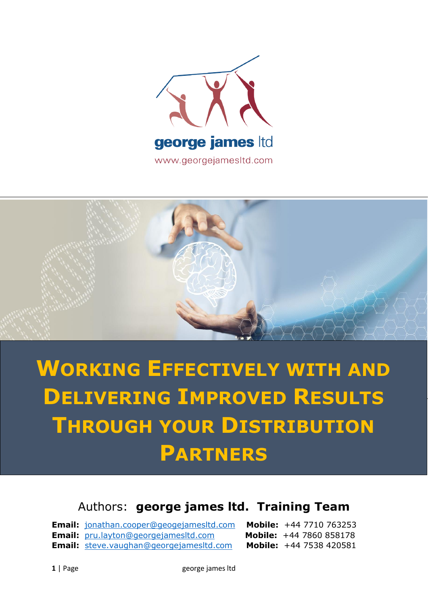



## **WORKING EFFECTIVELY WITH AND DELIVERING IMPROVED RESULTS THROUGH YOUR DISTRIBUTION PARTNERS**

## Authors: **george james ltd. Training Team**

**Email:** [jonathan.cooper@geogejamesltd.com](mailto:jonathan.cooper@geogejamesltd.com) **Mobile:** +44 7710 763253 **Email:** [pru.layton@georgejamesltd.com](mailto:pru.layton@georgejamesltd.com) **Mobile:** +44 7860 858178 **Email:** [steve.vaughan@georgejamesltd.com](mailto:steve.vaughan@georgejamesltd.com) **Mobile:** +44 7538 420581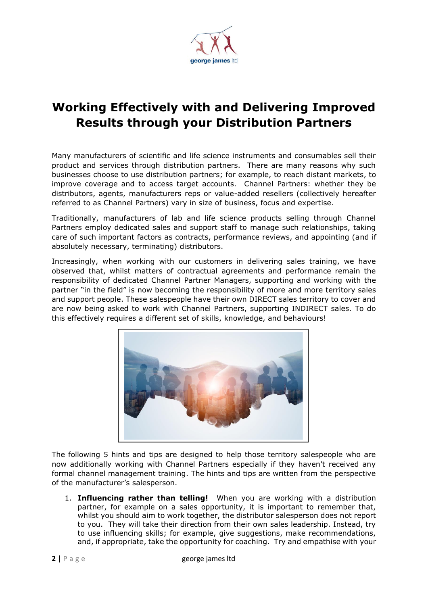

## **Working Effectively with and Delivering Improved Results through your Distribution Partners**

Many manufacturers of scientific and life science instruments and consumables sell their product and services through distribution partners. There are many reasons why such businesses choose to use distribution partners; for example, to reach distant markets, to improve coverage and to access target accounts. Channel Partners: whether they be distributors, agents, manufacturers reps or value-added resellers (collectively hereafter referred to as Channel Partners) vary in size of business, focus and expertise.

Traditionally, manufacturers of lab and life science products selling through Channel Partners employ dedicated sales and support staff to manage such relationships, taking care of such important factors as contracts, performance reviews, and appointing (and if absolutely necessary, terminating) distributors.

Increasingly, when working with our customers in delivering sales training, we have observed that, whilst matters of contractual agreements and performance remain the responsibility of dedicated Channel Partner Managers, supporting and working with the partner "in the field" is now becoming the responsibility of more and more territory sales and support people. These salespeople have their own DIRECT sales territory to cover and are now being asked to work with Channel Partners, supporting INDIRECT sales. To do this effectively requires a different set of skills, knowledge, and behaviours!



The following 5 hints and tips are designed to help those territory salespeople who are now additionally working with Channel Partners especially if they haven't received any formal channel management training. The hints and tips are written from the perspective of the manufacturer's salesperson.

1. **Influencing rather than telling!** When you are working with a distribution partner, for example on a sales opportunity, it is important to remember that, whilst you should aim to work together, the distributor salesperson does not report to you. They will take their direction from their own sales leadership. Instead, try to use influencing skills; for example, give suggestions, make recommendations, and, if appropriate, take the opportunity for coaching. Try and empathise with your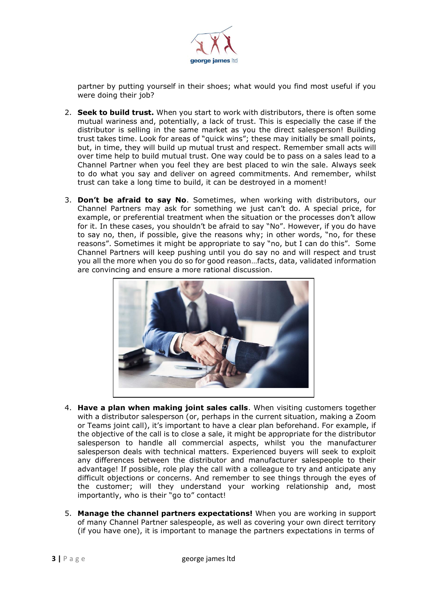

partner by putting yourself in their shoes; what would you find most useful if you were doing their job?

- 2. **Seek to build trust.** When you start to work with distributors, there is often some mutual wariness and, potentially, a lack of trust. This is especially the case if the distributor is selling in the same market as you the direct salesperson! Building trust takes time. Look for areas of "quick wins"; these may initially be small points, but, in time, they will build up mutual trust and respect. Remember small acts will over time help to build mutual trust. One way could be to pass on a sales lead to a Channel Partner when you feel they are best placed to win the sale. Always seek to do what you say and deliver on agreed commitments. And remember, whilst trust can take a long time to build, it can be destroyed in a moment!
- 3. **Don't be afraid to say No**. Sometimes, when working with distributors, our Channel Partners may ask for something we just can't do. A special price, for example, or preferential treatment when the situation or the processes don't allow for it. In these cases, you shouldn't be afraid to say "No". However, if you do have to say no, then, if possible, give the reasons why; in other words, "no, for these reasons". Sometimes it might be appropriate to say "no, but I can do this". Some Channel Partners will keep pushing until you do say no and will respect and trust you all the more when you do so for good reason…facts, data, validated information are convincing and ensure a more rational discussion.



- 4. **Have a plan when making joint sales calls**. When visiting customers together with a distributor salesperson (or, perhaps in the current situation, making a Zoom or Teams joint call), it's important to have a clear plan beforehand. For example, if the objective of the call is to close a sale, it might be appropriate for the distributor salesperson to handle all commercial aspects, whilst you the manufacturer salesperson deals with technical matters. Experienced buyers will seek to exploit any differences between the distributor and manufacturer salespeople to their advantage! If possible, role play the call with a colleague to try and anticipate any difficult objections or concerns. And remember to see things through the eyes of the customer; will they understand your working relationship and, most importantly, who is their "go to" contact!
- 5. **Manage the channel partners expectations!** When you are working in support of many Channel Partner salespeople, as well as covering your own direct territory (if you have one), it is important to manage the partners expectations in terms of